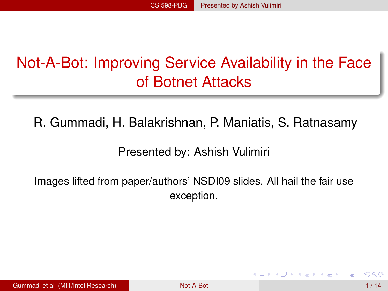# Not-A-Bot: Improving Service Availability in the Face of Botnet Attacks

R. Gummadi, H. Balakrishnan, P. Maniatis, S. Ratnasamy

<span id="page-0-0"></span>Presented by: Ashish Vulimiri

Images lifted from paper/authors' NSDI09 slides. All hail the fair use exception.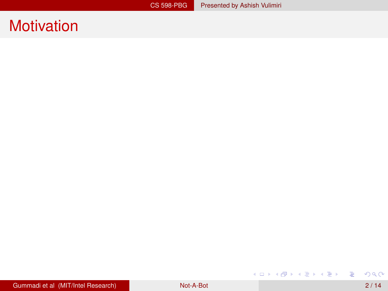重

K ロ ▶ K 御 ▶ K 君 ▶ K 君 ▶ ...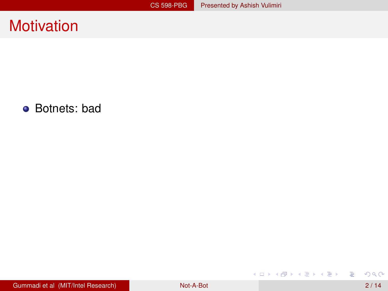• Botnets: bad

重

メロトメ 御 トメ 差 トメ 差 トー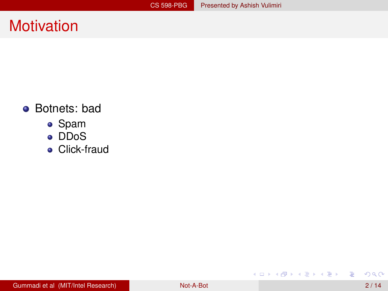#### • Botnets: bad

- Spam
- DDoS
- **•** Click-fraud

重

メロトメ 御 トメ 君 トメ 君 ト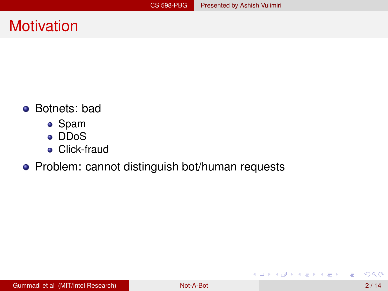- Botnets: bad
	- Spam
	- DDoS
	- **•** Click-fraud

#### • Problem: cannot distinguish bot/human requests

活

K ロ × K 御 × K 唐 × K 唐 × 1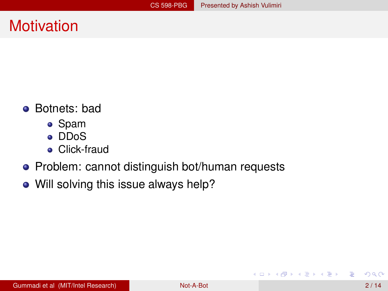- Botnets: bad
	- Spam
	- DDoS
	- **•** Click-fraud
- Problem: cannot distinguish bot/human requests
- Will solving this issue always help?

E

K ロ ⊁ K 倒 ≯ K 君 ⊁ K 君 ⊁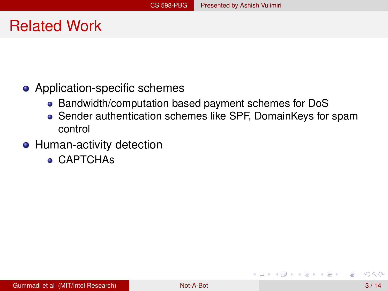# Related Work

- Application-specific schemes
	- Bandwidth/computation based payment schemes for DoS
	- Sender authentication schemes like SPF, DomainKeys for spam control
- **Human-activity detection** 
	- CAPTCHAs

4 0 8 1  $\leftarrow$   $\leftarrow$   $\leftarrow$ 

**REPAREM**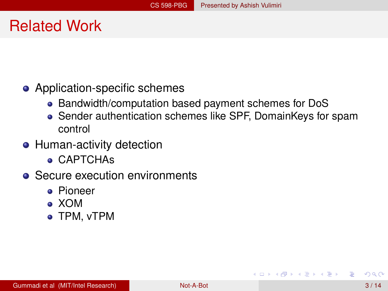# Related Work

- Application-specific schemes
	- Bandwidth/computation based payment schemes for DoS
	- Sender authentication schemes like SPF, DomainKeys for spam control
- **Human-activity detection** 
	- CAPTCHAs
- Secure execution environments
	- Pioneer
	- XOM
	- TPM, vTPM

4 0 8 1  $\overline{AB}$ 

医单位 医单位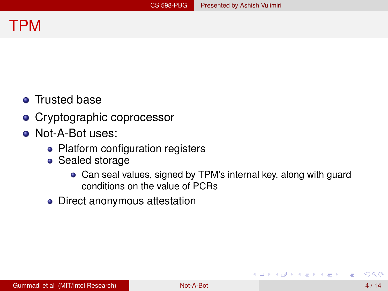#### TPM

- **•** Trusted base
- Cryptographic coprocessor
- Not-A-Bot uses:
	- Platform configuration registers
	- Sealed storage
		- Can seal values, signed by TPM's internal key, along with guard conditions on the value of PCRs
	- Direct anonymous attestation

イロト イ押 トイラト イラト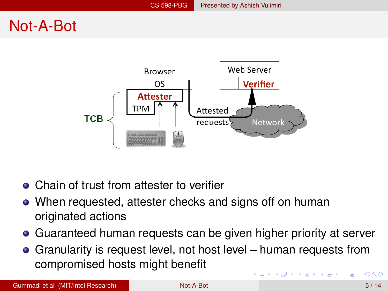# Not-A-Bot



- Chain of trust from attester to verifier
- When requested, attester checks and signs off on human originated actions
- Guaranteed human requests can be given higher priority at server
- Granularity is request level, not host level human requests from compromised hosts might benefit イロト イ押ト イヨト イヨト  $\Omega$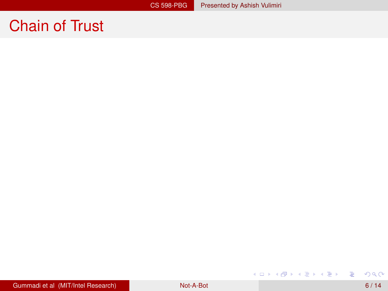重

イロトメ 御 トメ 君 トメ 君 トッ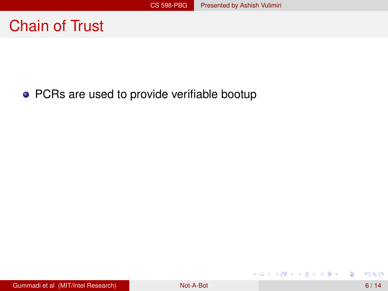#### • PCRs are used to provide verifiable bootup

活

メロメメ 御 メメ きょく モメー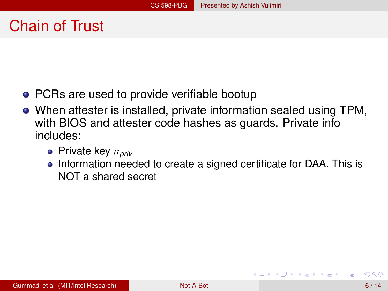- PCRs are used to provide verifiable bootup
- When attester is installed, private information sealed using TPM, with BIOS and attester code hashes as guards. Private info includes:
	- Private key κ*priv*
	- Information needed to create a signed certificate for DAA. This is NOT a shared secret

A + + = + + = +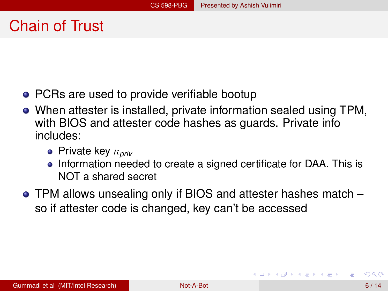- PCRs are used to provide verifiable bootup
- When attester is installed, private information sealed using TPM, with BIOS and attester code hashes as guards. Private info includes:
	- Private key κ*priv*
	- Information needed to create a signed certificate for DAA. This is NOT a shared secret
- TPM allows unsealing only if BIOS and attester hashes match so if attester code is changed, key can't be accessed

 $\mathcal{A}$   $\overline{\mathcal{B}}$   $\rightarrow$   $\mathcal{A}$   $\overline{\mathcal{B}}$   $\rightarrow$   $\mathcal{A}$   $\overline{\mathcal{B}}$   $\rightarrow$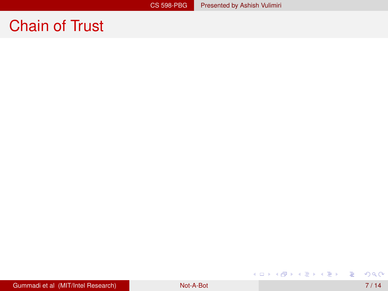重

イロトメ 御 トメ 君 トメ 君 トッ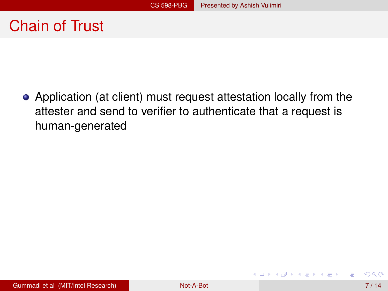Application (at client) must request attestation locally from the attester and send to verifier to authenticate that a request is human-generated

K ロ ⊁ K 倒 ≯ K 君 ⊁ K 君 ⊁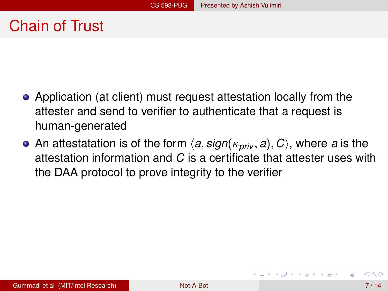- Application (at client) must request attestation locally from the attester and send to verifier to authenticate that a request is human-generated
- An attestatation is of the form  $\langle a, \text{sign}(\kappa_{\text{priv}}, a), C \rangle$ , where *a* is the attestation information and *C* is a certificate that attester uses with the DAA protocol to prove integrity to the verifier

**REPAREM**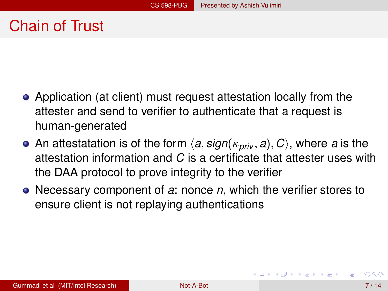- Application (at client) must request attestation locally from the attester and send to verifier to authenticate that a request is human-generated
- An attestatation is of the form  $\langle a, \text{sign}(\kappa_{\text{priv}}, a), C \rangle$ , where *a* is the attestation information and *C* is a certificate that attester uses with the DAA protocol to prove integrity to the verifier
- Necessary component of *a*: nonce *n*, which the verifier stores to ensure client is not replaying authentications

イロト イ押 トイラト イラト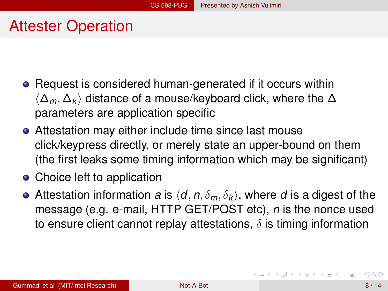# Attester Operation

- Request is considered human-generated if it occurs within h∆*m*, ∆*<sup>k</sup>* i distance of a mouse/keyboard click, where the ∆ parameters are application specific
- Attestation may either include time since last mouse click/keypress directly, or merely state an upper-bound on them (the first leaks some timing information which may be significant)
- Choice left to application
- Attestation information *a* is  $\langle d, n, \delta_m, \delta_k \rangle$ , where *d* is a digest of the message (e.g. e-mail, HTTP GET/POST etc), *n* is the nonce used to ensure client cannot replay attestations,  $\delta$  is timing information

K ロ ▶ K 個 ▶ K 重 ▶ K 重 ▶ …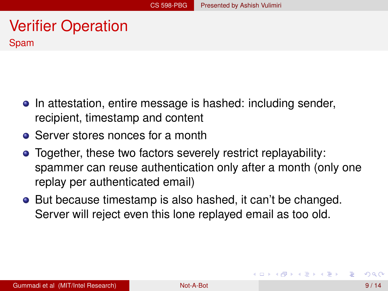#### Verifier Operation Spam

- In attestation, entire message is hashed: including sender, recipient, timestamp and content
- Server stores nonces for a month
- Together, these two factors severely restrict replayability: spammer can reuse authentication only after a month (only one replay per authenticated email)
- **•** But because timestamp is also hashed, it can't be changed. Server will reject even this lone replayed email as too old.

<span id="page-19-0"></span>イロト イ押 トイラト イラト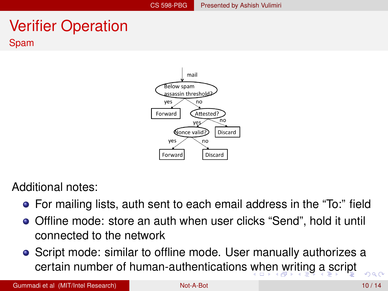## Verifier Operation Spam

<span id="page-20-0"></span>

Additional notes:

- For mailing lists, auth sent to each email address in the "To:" field
- Offline mode: store an auth when user clicks "Send", hold it until connected to the network
- Script mode: similar to offline mode. User manually authorizes a certain number of human-authentications [w](#page-19-0)[he](#page-21-0)[n](#page-19-0) [w](#page-20-0)[ri](#page-21-0)[tin](#page-0-0)[g](#page-29-0) [a](#page-0-0) [sc](#page-29-0)[rip](#page-0-0)[t](#page-29-0)  $000$

Gummadi et al (MIT/Intel Research) [Not-A-Bot](#page-0-0) 10 / 14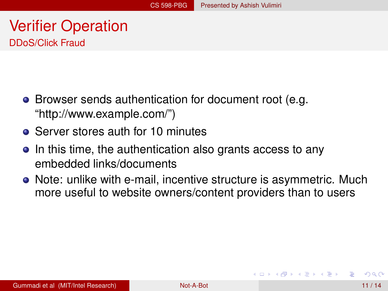#### Verifier Operation DDoS/Click Fraud

- Browser sends authentication for document root (e.g. "http://www.example.com/")
- Server stores auth for 10 minutes
- In this time, the authentication also grants access to any embedded links/documents
- Note: unlike with e-mail, incentive structure is asymmetric. Much more useful to website owners/content providers than to users

<span id="page-21-0"></span> $\mathcal{A}$   $\overline{\mathcal{B}}$   $\rightarrow$   $\mathcal{A}$   $\overline{\mathcal{B}}$   $\rightarrow$   $\mathcal{A}$   $\overline{\mathcal{B}}$   $\rightarrow$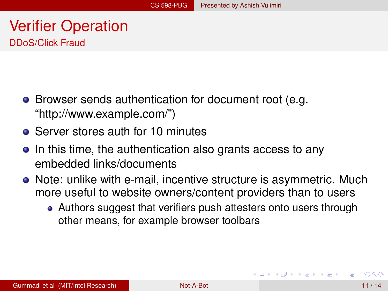#### Verifier Operation DDoS/Click Fraud

- Browser sends authentication for document root (e.g. "http://www.example.com/")
- Server stores auth for 10 minutes
- In this time, the authentication also grants access to any embedded links/documents
- Note: unlike with e-mail, incentive structure is asymmetric. Much more useful to website owners/content providers than to users
	- Authors suggest that verifiers push attesters onto users through other means, for example browser toolbars

( ロ ) ( *同* ) ( ヨ ) ( ヨ )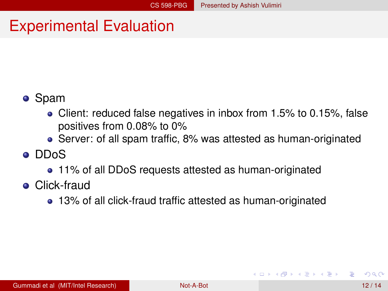# Experimental Evaluation

#### Spam

- Client: reduced false negatives in inbox from 1.5% to 0.15%, false positives from 0.08% to 0%
- Server: of all spam traffic, 8% was attested as human-originated

#### DDoS

- 11% of all DDoS requests attested as human-originated
- **•** Click-fraud
	- 13% of all click-fraud traffic attested as human-originated

 $\mathcal{A}$   $\overline{\mathcal{B}}$   $\rightarrow$   $\mathcal{A}$   $\overline{\mathcal{B}}$   $\rightarrow$   $\mathcal{A}$   $\overline{\mathcal{B}}$   $\rightarrow$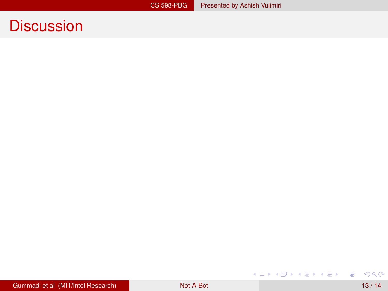重

メロトメ 御 トメ ミトメ ミト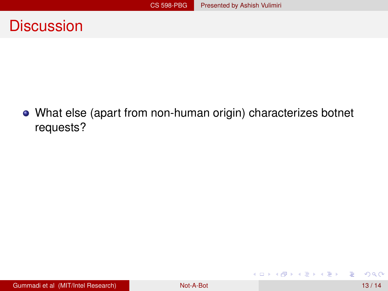What else (apart from non-human origin) characterizes botnet requests?

活

K ロ × K 御 × K 唐 × K 唐 × 1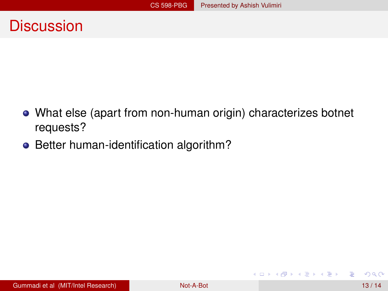- What else (apart from non-human origin) characterizes botnet requests?
- Better human-identification algorithm?

Þ

イロト イ押 トイラト イラト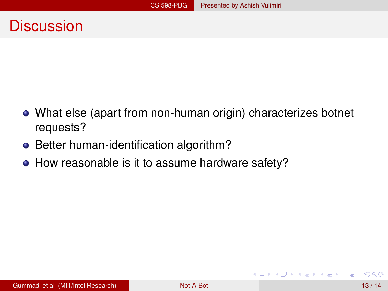- What else (apart from non-human origin) characterizes botnet requests?
- Better human-identification algorithm?
- How reasonable is it to assume hardware safety?

4 0 8  $\overline{AB}$ 

**REPAREM**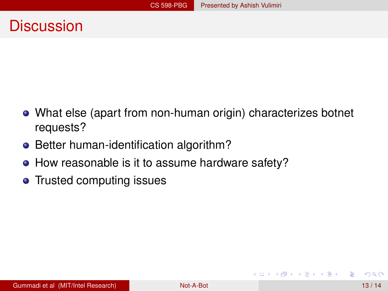- What else (apart from non-human origin) characterizes botnet requests?
- Better human-identification algorithm?
- How reasonable is it to assume hardware safety?
- Trusted computing issues

4 00 10

A R

医单位 医单位